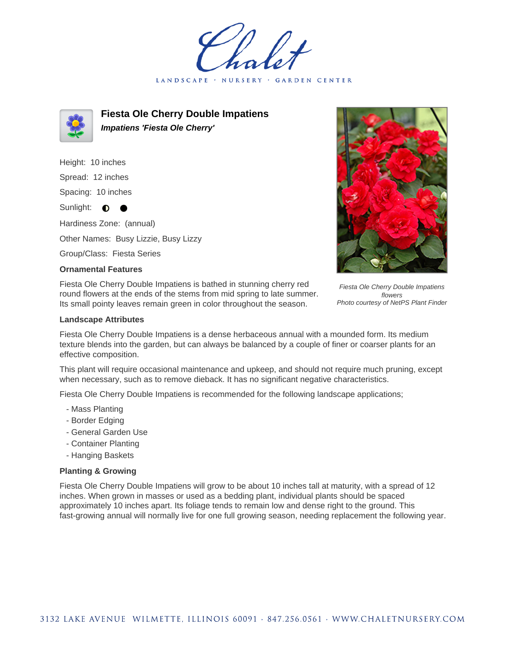LANDSCAPE · **GARDEN CENTER** 



**Fiesta Ole Cherry Double Impatiens Impatiens 'Fiesta Ole Cherry'**

Height: 10 inches Spread: 12 inches Spacing: 10 inches Sunlight:  $\bullet$ Hardiness Zone: (annual) Other Names: Busy Lizzie, Busy Lizzy Group/Class: Fiesta Series

## **Ornamental Features**

Fiesta Ole Cherry Double Impatiens is bathed in stunning cherry red round flowers at the ends of the stems from mid spring to late summer. Its small pointy leaves remain green in color throughout the season.

## Fiesta Ole Cherry Double Impatiens flowers Photo courtesy of NetPS Plant Finder

## **Landscape Attributes**

Fiesta Ole Cherry Double Impatiens is a dense herbaceous annual with a mounded form. Its medium texture blends into the garden, but can always be balanced by a couple of finer or coarser plants for an effective composition.

This plant will require occasional maintenance and upkeep, and should not require much pruning, except when necessary, such as to remove dieback. It has no significant negative characteristics.

Fiesta Ole Cherry Double Impatiens is recommended for the following landscape applications;

- Mass Planting
- Border Edging
- General Garden Use
- Container Planting
- Hanging Baskets

## **Planting & Growing**

Fiesta Ole Cherry Double Impatiens will grow to be about 10 inches tall at maturity, with a spread of 12 inches. When grown in masses or used as a bedding plant, individual plants should be spaced approximately 10 inches apart. Its foliage tends to remain low and dense right to the ground. This fast-growing annual will normally live for one full growing season, needing replacement the following year.